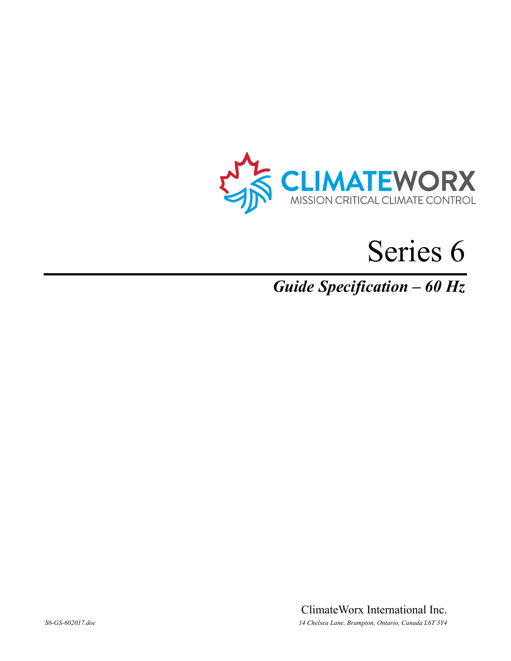

# Series 6

# *Guide Specification – 60 Hz*

ClimateWorx International Inc. *S6-GS-602017.doc 14 Chelsea Lane, Brampton, Ontario, Canada L6T 3Y4*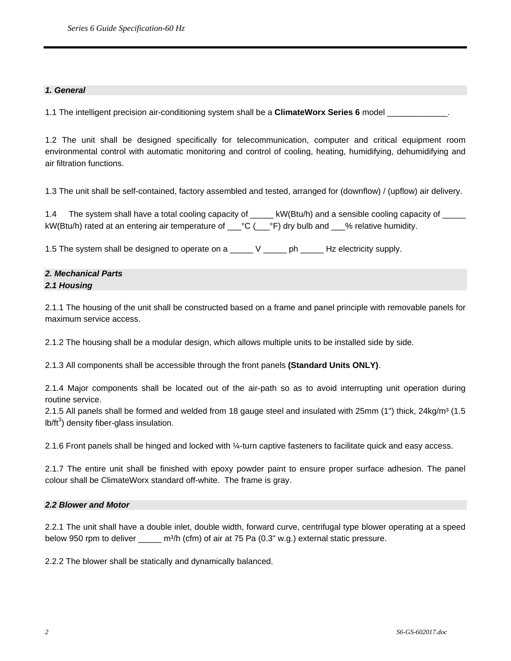#### *1. General*

1.1 The intelligent precision air-conditioning system shall be a **ClimateWorx Series 6** model

1.2 The unit shall be designed specifically for telecommunication, computer and critical equipment room environmental control with automatic monitoring and control of cooling, heating, humidifying, dehumidifying and air filtration functions.

1.3 The unit shall be self-contained, factory assembled and tested, arranged for (downflow) / (upflow) air delivery.

1.4 The system shall have a total cooling capacity of \_\_\_\_\_ kW(Btu/h) and a sensible cooling capacity of \_\_\_\_\_ kW(Btu/h) rated at an entering air temperature of \_\_\_°C (\_\_\_°F) dry bulb and \_\_\_% relative humidity.

1.5 The system shall be designed to operate on a \_\_\_\_\_ V \_\_\_\_\_ ph \_\_\_\_\_ Hz electricity supply.

# *2. Mechanical Parts 2.1 Housing*

2.1.1 The housing of the unit shall be constructed based on a frame and panel principle with removable panels for maximum service access.

2.1.2 The housing shall be a modular design, which allows multiple units to be installed side by side.

2.1.3 All components shall be accessible through the front panels **(Standard Units ONLY)**.

2.1.4 Major components shall be located out of the air-path so as to avoid interrupting unit operation during routine service.

2.1.5 All panels shall be formed and welded from 18 gauge steel and insulated with 25mm (1") thick,  $24\text{kg/m}^3$  (1.5 lb/ft $3$ ) density fiber-glass insulation.

2.1.6 Front panels shall be hinged and locked with ¼-turn captive fasteners to facilitate quick and easy access.

2.1.7 The entire unit shall be finished with epoxy powder paint to ensure proper surface adhesion. The panel colour shall be ClimateWorx standard off-white. The frame is gray.

#### *2.2 Blower and Motor*

2.2.1 The unit shall have a double inlet, double width, forward curve, centrifugal type blower operating at a speed below 950 rpm to deliver \_\_\_\_\_\_ m<sup>3</sup>/h (cfm) of air at 75 Pa (0.3" w.g.) external static pressure.

2.2.2 The blower shall be statically and dynamically balanced.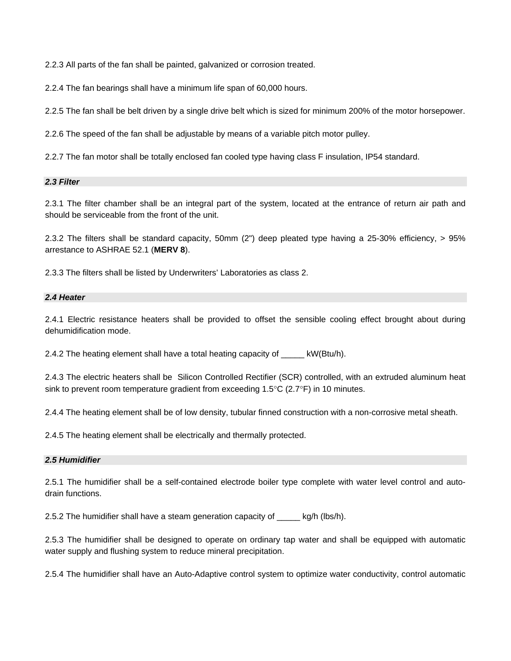2.2.3 All parts of the fan shall be painted, galvanized or corrosion treated.

2.2.4 The fan bearings shall have a minimum life span of 60,000 hours.

2.2.5 The fan shall be belt driven by a single drive belt which is sized for minimum 200% of the motor horsepower.

2.2.6 The speed of the fan shall be adjustable by means of a variable pitch motor pulley.

2.2.7 The fan motor shall be totally enclosed fan cooled type having class F insulation, IP54 standard.

#### *2.3 Filter*

2.3.1 The filter chamber shall be an integral part of the system, located at the entrance of return air path and should be serviceable from the front of the unit.

2.3.2 The filters shall be standard capacity, 50mm (2") deep pleated type having a 25-30% efficiency, > 95% arrestance to ASHRAE 52.1 (**MERV 8**).

2.3.3 The filters shall be listed by Underwriters' Laboratories as class 2.

#### *2.4 Heater*

2.4.1 Electric resistance heaters shall be provided to offset the sensible cooling effect brought about during dehumidification mode.

2.4.2 The heating element shall have a total heating capacity of kW(Btu/h).

2.4.3 The electric heaters shall be Silicon Controlled Rectifier (SCR) controlled, with an extruded aluminum heat sink to prevent room temperature gradient from exceeding  $1.5^{\circ}$ C (2.7 $^{\circ}$ F) in 10 minutes.

2.4.4 The heating element shall be of low density, tubular finned construction with a non-corrosive metal sheath.

2.4.5 The heating element shall be electrically and thermally protected.

#### *2.5 Humidifier*

2.5.1 The humidifier shall be a self-contained electrode boiler type complete with water level control and autodrain functions.

2.5.2 The humidifier shall have a steam generation capacity of \_\_\_\_\_ kg/h (lbs/h).

2.5.3 The humidifier shall be designed to operate on ordinary tap water and shall be equipped with automatic water supply and flushing system to reduce mineral precipitation.

2.5.4 The humidifier shall have an Auto-Adaptive control system to optimize water conductivity, control automatic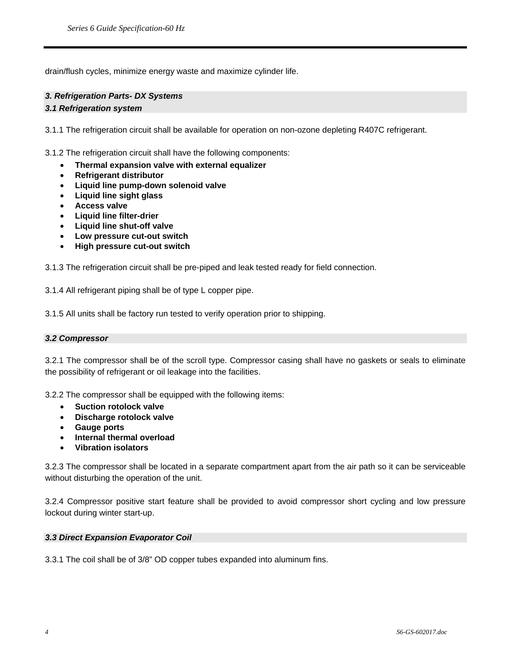drain/flush cycles, minimize energy waste and maximize cylinder life.

# *3. Refrigeration Parts- DX Systems*

#### *3.1 Refrigeration system*

3.1.1 The refrigeration circuit shall be available for operation on non-ozone depleting R407C refrigerant.

3.1.2 The refrigeration circuit shall have the following components:

- **Thermal expansion valve with external equalizer**
- **Refrigerant distributor**
- **Liquid line pump-down solenoid valve**
- **Liquid line sight glass**
- **Access valve**
- **Liquid line filter-drier**
- **Liquid line shut-off valve**
- **Low pressure cut-out switch**
- **High pressure cut-out switch**

3.1.3 The refrigeration circuit shall be pre-piped and leak tested ready for field connection.

3.1.4 All refrigerant piping shall be of type L copper pipe.

3.1.5 All units shall be factory run tested to verify operation prior to shipping.

#### *3.2 Compressor*

3.2.1 The compressor shall be of the scroll type. Compressor casing shall have no gaskets or seals to eliminate the possibility of refrigerant or oil leakage into the facilities.

3.2.2 The compressor shall be equipped with the following items:

- **Suction rotolock valve**
- **Discharge rotolock valve**
- **Gauge ports**
- **Internal thermal overload**
- **Vibration isolators**

3.2.3 The compressor shall be located in a separate compartment apart from the air path so it can be serviceable without disturbing the operation of the unit.

3.2.4 Compressor positive start feature shall be provided to avoid compressor short cycling and low pressure lockout during winter start-up.

#### *3.3 Direct Expansion Evaporator Coil*

3.3.1 The coil shall be of 3/8" OD copper tubes expanded into aluminum fins.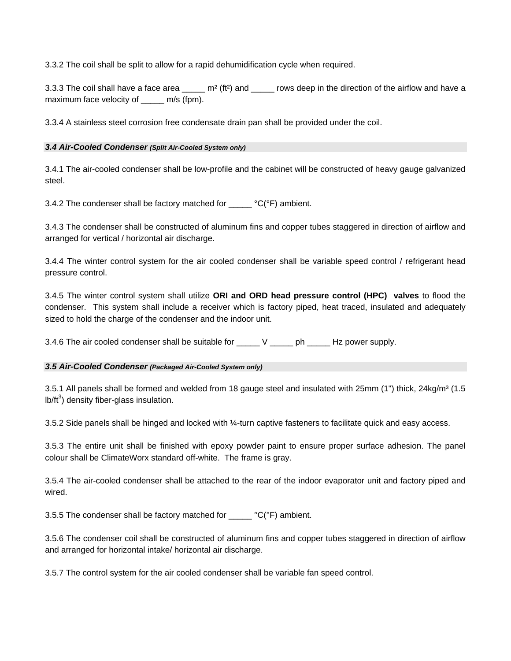3.3.2 The coil shall be split to allow for a rapid dehumidification cycle when required.

3.3.3 The coil shall have a face area  $\frac{m^2}{f(t^2)}$  and  $\frac{m}{f(t^2)}$  rows deep in the direction of the airflow and have a maximum face velocity of \_\_\_\_\_\_ m/s (fpm).

3.3.4 A stainless steel corrosion free condensate drain pan shall be provided under the coil.

#### *3.4 Air-Cooled Condenser (Split Air-Cooled System only)*

3.4.1 The air-cooled condenser shall be low-profile and the cabinet will be constructed of heavy gauge galvanized steel.

3.4.2 The condenser shall be factory matched for  ${}^{\circ}C(^{\circ}F)$  ambient.

3.4.3 The condenser shall be constructed of aluminum fins and copper tubes staggered in direction of airflow and arranged for vertical / horizontal air discharge.

3.4.4 The winter control system for the air cooled condenser shall be variable speed control / refrigerant head pressure control.

3.4.5 The winter control system shall utilize **ORI and ORD head pressure control (HPC) valves** to flood the condenser. This system shall include a receiver which is factory piped, heat traced, insulated and adequately sized to hold the charge of the condenser and the indoor unit.

3.4.6 The air cooled condenser shall be suitable for \_\_\_\_\_ V \_\_\_\_\_ ph \_\_\_\_\_ Hz power supply.

# *3.5 Air-Cooled Condenser (Packaged Air-Cooled System only)*

3.5.1 All panels shall be formed and welded from 18 gauge steel and insulated with 25mm (1") thick, 24kg/m<sup>3</sup> (1.5 lb/ft $3$ ) density fiber-glass insulation.

3.5.2 Side panels shall be hinged and locked with ¼-turn captive fasteners to facilitate quick and easy access.

3.5.3 The entire unit shall be finished with epoxy powder paint to ensure proper surface adhesion. The panel colour shall be ClimateWorx standard off-white. The frame is gray.

3.5.4 The air-cooled condenser shall be attached to the rear of the indoor evaporator unit and factory piped and wired.

3.5.5 The condenser shall be factory matched for  ${}^{\circ}C(^{\circ}F)$  ambient.

3.5.6 The condenser coil shall be constructed of aluminum fins and copper tubes staggered in direction of airflow and arranged for horizontal intake/ horizontal air discharge.

3.5.7 The control system for the air cooled condenser shall be variable fan speed control.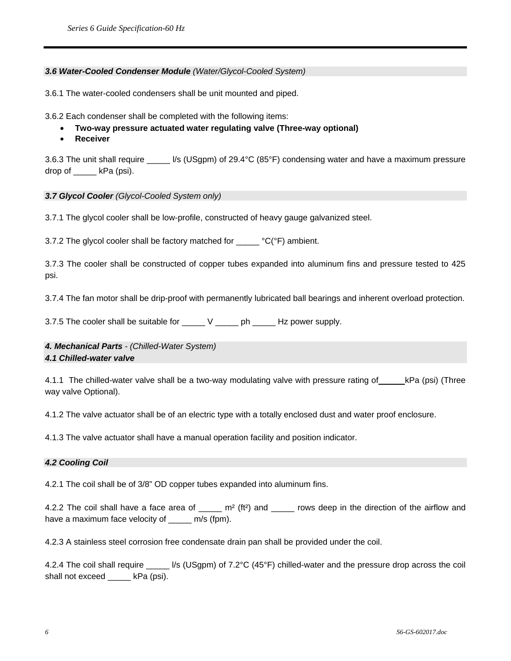#### *3.6 Water-Cooled Condenser Module (Water/Glycol-Cooled System)*

3.6.1 The water-cooled condensers shall be unit mounted and piped.

3.6.2 Each condenser shall be completed with the following items:

- **Two-way pressure actuated water regulating valve (Three-way optional)**
- **Receiver**

3.6.3 The unit shall require \_\_\_\_\_ l/s (USgpm) of 29.4°C (85°F) condensing water and have a maximum pressure drop of  $kPa$  (psi).

#### *3.7 Glycol Cooler (Glycol-Cooled System only)*

3.7.1 The glycol cooler shall be low-profile, constructed of heavy gauge galvanized steel.

3.7.2 The glycol cooler shall be factory matched for  $C(^{\circ}F)$  ambient.

3.7.3 The cooler shall be constructed of copper tubes expanded into aluminum fins and pressure tested to 425 psi.

3.7.4 The fan motor shall be drip-proof with permanently lubricated ball bearings and inherent overload protection.

3.7.5 The cooler shall be suitable for \_\_\_\_\_ V \_\_\_\_\_ ph \_\_\_\_\_ Hz power supply.

*4. Mechanical Parts - (Chilled-Water System) 4.1 Chilled-water valve* 

4.1.1 The chilled-water valve shall be a two-way modulating valve with pressure rating of kPa (psi) (Three way valve Optional).

4.1.2 The valve actuator shall be of an electric type with a totally enclosed dust and water proof enclosure.

4.1.3 The valve actuator shall have a manual operation facility and position indicator.

#### *4.2 Cooling Coil*

4.2.1 The coil shall be of 3/8" OD copper tubes expanded into aluminum fins.

4.2.2 The coil shall have a face area of \_\_\_\_\_ m<sup>2</sup> (ft<sup>2</sup>) and \_\_\_\_\_ rows deep in the direction of the airflow and have a maximum face velocity of \_\_\_\_\_ m/s (fpm).

4.2.3 A stainless steel corrosion free condensate drain pan shall be provided under the coil.

4.2.4 The coil shall require \_\_\_\_\_ l/s (USgpm) of 7.2°C (45°F) chilled-water and the pressure drop across the coil shall not exceed \_\_\_\_\_ kPa (psi).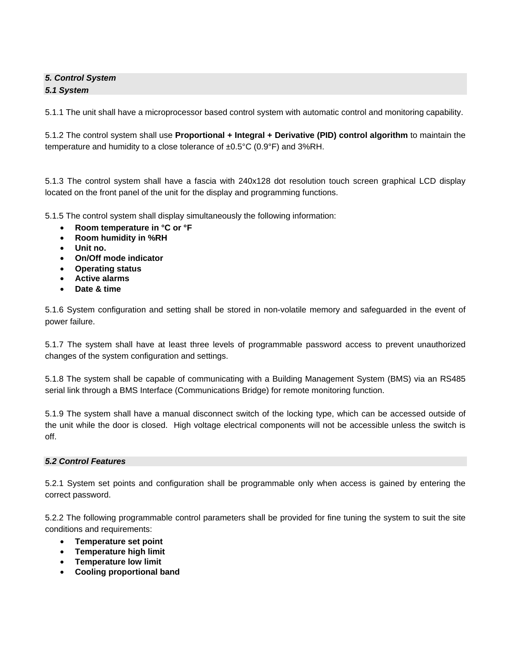# *5. Control System 5.1 System*

5.1.1 The unit shall have a microprocessor based control system with automatic control and monitoring capability.

5.1.2 The control system shall use **Proportional + Integral + Derivative (PID) control algorithm** to maintain the temperature and humidity to a close tolerance of ±0.5°C (0.9°F) and 3%RH.

5.1.3 The control system shall have a fascia with 240x128 dot resolution touch screen graphical LCD display located on the front panel of the unit for the display and programming functions.

5.1.5 The control system shall display simultaneously the following information:

- **Room temperature in °C or °F**
- **Room humidity in %RH**
- **Unit no.**
- **On/Off mode indicator**
- **Operating status**
- **Active alarms**
- **Date & time**

5.1.6 System configuration and setting shall be stored in non-volatile memory and safeguarded in the event of power failure.

5.1.7 The system shall have at least three levels of programmable password access to prevent unauthorized changes of the system configuration and settings.

5.1.8 The system shall be capable of communicating with a Building Management System (BMS) via an RS485 serial link through a BMS Interface (Communications Bridge) for remote monitoring function.

5.1.9 The system shall have a manual disconnect switch of the locking type, which can be accessed outside of the unit while the door is closed. High voltage electrical components will not be accessible unless the switch is off.

#### *5.2 Control Features*

5.2.1 System set points and configuration shall be programmable only when access is gained by entering the correct password.

5.2.2 The following programmable control parameters shall be provided for fine tuning the system to suit the site conditions and requirements:

- **Temperature set point**
- **Temperature high limit**
- **Temperature low limit**
- **Cooling proportional band**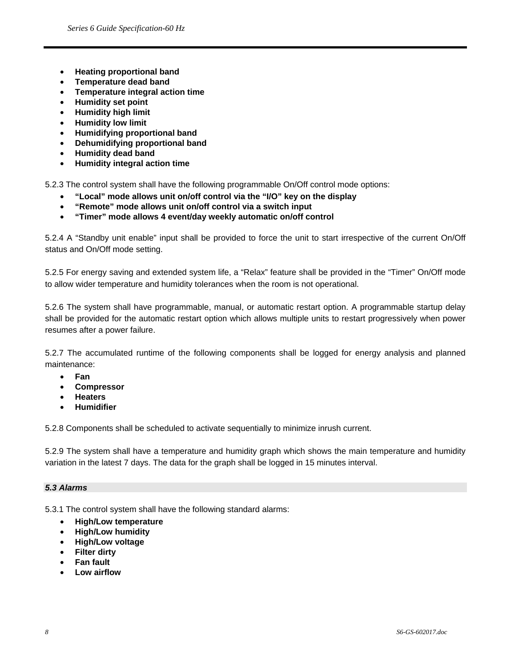- **Heating proportional band**
- **Temperature dead band**
- **Temperature integral action time**
- **Humidity set point**
- **Humidity high limit**
- **Humidity low limit**
- **Humidifying proportional band**
- **Dehumidifying proportional band**
- **Humidity dead band**
- **Humidity integral action time**

5.2.3 The control system shall have the following programmable On/Off control mode options:

- **"Local" mode allows unit on/off control via the "I/O" key on the display**
- **"Remote" mode allows unit on/off control via a switch input**
- **"Timer" mode allows 4 event/day weekly automatic on/off control**

5.2.4 A "Standby unit enable" input shall be provided to force the unit to start irrespective of the current On/Off status and On/Off mode setting.

5.2.5 For energy saving and extended system life, a "Relax" feature shall be provided in the "Timer" On/Off mode to allow wider temperature and humidity tolerances when the room is not operational.

5.2.6 The system shall have programmable, manual, or automatic restart option. A programmable startup delay shall be provided for the automatic restart option which allows multiple units to restart progressively when power resumes after a power failure.

5.2.7 The accumulated runtime of the following components shall be logged for energy analysis and planned maintenance:

- **Fan**
- **Compressor**
- **Heaters**
- **Humidifier**

5.2.8 Components shall be scheduled to activate sequentially to minimize inrush current.

5.2.9 The system shall have a temperature and humidity graph which shows the main temperature and humidity variation in the latest 7 days. The data for the graph shall be logged in 15 minutes interval.

#### *5.3 Alarms*

5.3.1 The control system shall have the following standard alarms:

- **High/Low temperature**
- **High/Low humidity**
- **High/Low voltage**
- **Filter dirty**
- **Fan fault**
- **Low airflow**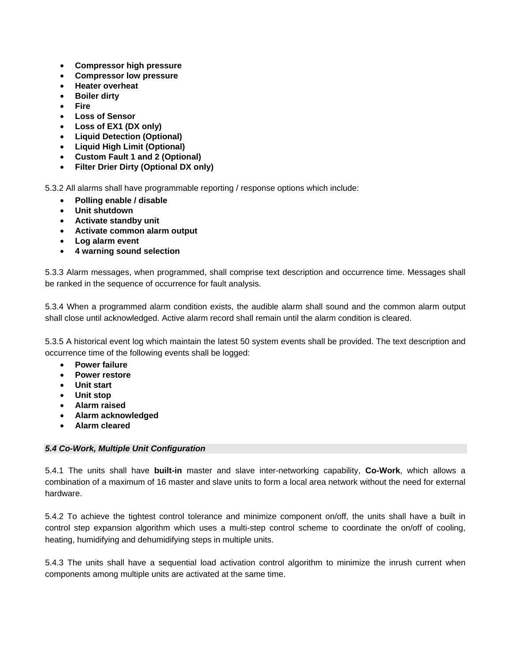- **Compressor high pressure**
- **Compressor low pressure**
- **Heater overheat**
- **Boiler dirty**
- **Fire**
- **Loss of Sensor**
- **Loss of EX1 (DX only)**
- **Liquid Detection (Optional)**
- **Liquid High Limit (Optional)**
- **Custom Fault 1 and 2 (Optional)**
- **Filter Drier Dirty (Optional DX only)**

5.3.2 All alarms shall have programmable reporting / response options which include:

- **Polling enable / disable**
- **Unit shutdown**
- **Activate standby unit**
- **Activate common alarm output**
- **Log alarm event**
- **4 warning sound selection**

5.3.3 Alarm messages, when programmed, shall comprise text description and occurrence time. Messages shall be ranked in the sequence of occurrence for fault analysis.

5.3.4 When a programmed alarm condition exists, the audible alarm shall sound and the common alarm output shall close until acknowledged. Active alarm record shall remain until the alarm condition is cleared.

5.3.5 A historical event log which maintain the latest 50 system events shall be provided. The text description and occurrence time of the following events shall be logged:

- **Power failure**
- **Power restore**
- **Unit start**
- **Unit stop**
- **Alarm raised**
- **Alarm acknowledged**
- **Alarm cleared**

# *5.4 Co-Work, Multiple Unit Configuration*

5.4.1 The units shall have **built-in** master and slave inter-networking capability, **Co-Work**, which allows a combination of a maximum of 16 master and slave units to form a local area network without the need for external hardware.

5.4.2 To achieve the tightest control tolerance and minimize component on/off, the units shall have a built in control step expansion algorithm which uses a multi-step control scheme to coordinate the on/off of cooling, heating, humidifying and dehumidifying steps in multiple units.

5.4.3 The units shall have a sequential load activation control algorithm to minimize the inrush current when components among multiple units are activated at the same time.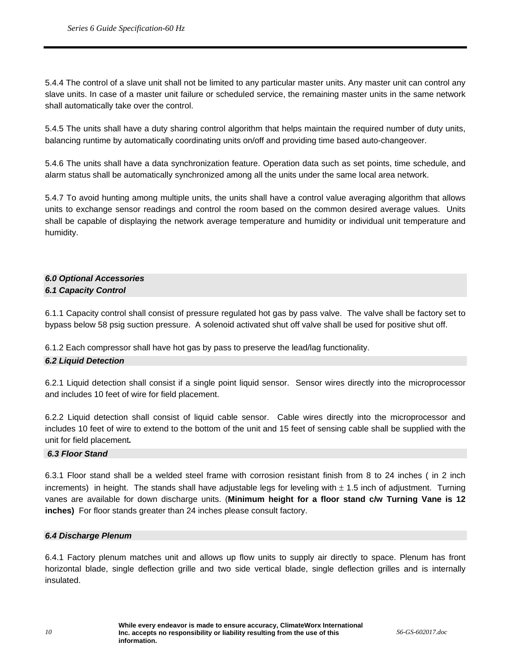5.4.4 The control of a slave unit shall not be limited to any particular master units. Any master unit can control any slave units. In case of a master unit failure or scheduled service, the remaining master units in the same network shall automatically take over the control.

5.4.5 The units shall have a duty sharing control algorithm that helps maintain the required number of duty units, balancing runtime by automatically coordinating units on/off and providing time based auto-changeover.

5.4.6 The units shall have a data synchronization feature. Operation data such as set points, time schedule, and alarm status shall be automatically synchronized among all the units under the same local area network.

5.4.7 To avoid hunting among multiple units, the units shall have a control value averaging algorithm that allows units to exchange sensor readings and control the room based on the common desired average values. Units shall be capable of displaying the network average temperature and humidity or individual unit temperature and humidity.

# *6.0 Optional Accessories 6.1 Capacity Control*

6.1.1 Capacity control shall consist of pressure regulated hot gas by pass valve. The valve shall be factory set to bypass below 58 psig suction pressure. A solenoid activated shut off valve shall be used for positive shut off.

6.1.2 Each compressor shall have hot gas by pass to preserve the lead/lag functionality.

# *6.2 Liquid Detection*

6.2.1 Liquid detection shall consist if a single point liquid sensor. Sensor wires directly into the microprocessor and includes 10 feet of wire for field placement.

6.2.2 Liquid detection shall consist of liquid cable sensor. Cable wires directly into the microprocessor and includes 10 feet of wire to extend to the bottom of the unit and 15 feet of sensing cable shall be supplied with the unit for field placement*.* 

#### *6.3 Floor Stand*

6.3.1 Floor stand shall be a welded steel frame with corrosion resistant finish from 8 to 24 inches ( in 2 inch increments) in height. The stands shall have adjustable legs for leveling with  $\pm$  1.5 inch of adjustment. Turning vanes are available for down discharge units. (**Minimum height for a floor stand c/w Turning Vane is 12 inches)** For floor stands greater than 24 inches please consult factory.

#### *6.4 Discharge Plenum*

6.4.1 Factory plenum matches unit and allows up flow units to supply air directly to space. Plenum has front horizontal blade, single deflection grille and two side vertical blade, single deflection grilles and is internally insulated.